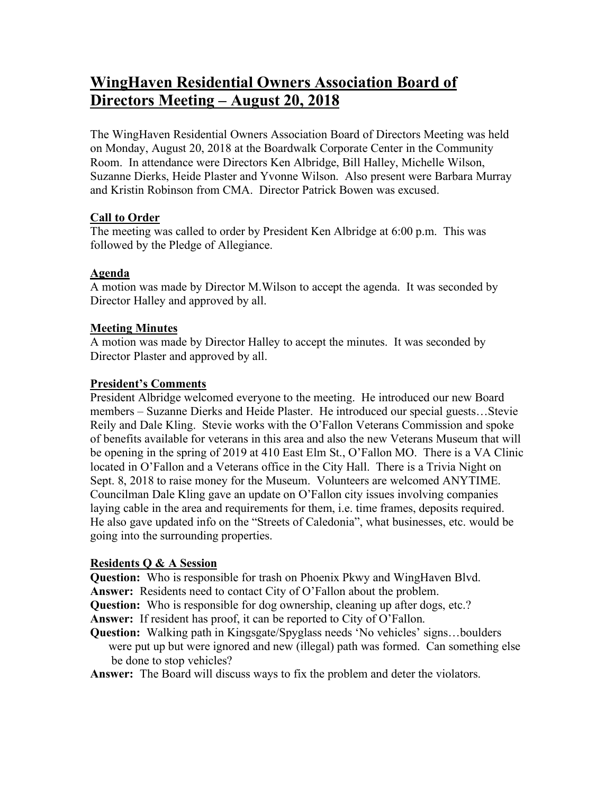# **WingHaven Residential Owners Association Board of Directors Meeting – August 20, 2018**

The WingHaven Residential Owners Association Board of Directors Meeting was held on Monday, August 20, 2018 at the Boardwalk Corporate Center in the Community Room. In attendance were Directors Ken Albridge, Bill Halley, Michelle Wilson, Suzanne Dierks, Heide Plaster and Yvonne Wilson. Also present were Barbara Murray and Kristin Robinson from CMA. Director Patrick Bowen was excused.

## **Call to Order**

The meeting was called to order by President Ken Albridge at 6:00 p.m. This was followed by the Pledge of Allegiance.

# **Agenda**

A motion was made by Director M.Wilson to accept the agenda. It was seconded by Director Halley and approved by all.

## **Meeting Minutes**

A motion was made by Director Halley to accept the minutes. It was seconded by Director Plaster and approved by all.

## **President's Comments**

President Albridge welcomed everyone to the meeting. He introduced our new Board members – Suzanne Dierks and Heide Plaster. He introduced our special guests…Stevie Reily and Dale Kling. Stevie works with the O'Fallon Veterans Commission and spoke of benefits available for veterans in this area and also the new Veterans Museum that will be opening in the spring of 2019 at 410 East Elm St., O'Fallon MO. There is a VA Clinic located in O'Fallon and a Veterans office in the City Hall. There is a Trivia Night on Sept. 8, 2018 to raise money for the Museum. Volunteers are welcomed ANYTIME. Councilman Dale Kling gave an update on O'Fallon city issues involving companies laying cable in the area and requirements for them, i.e. time frames, deposits required. He also gave updated info on the "Streets of Caledonia", what businesses, etc. would be going into the surrounding properties.

# **Residents Q & A Session**

**Question:** Who is responsible for trash on Phoenix Pkwy and WingHaven Blvd.

**Answer:** Residents need to contact City of O'Fallon about the problem.

**Question:** Who is responsible for dog ownership, cleaning up after dogs, etc.?

**Answer:** If resident has proof, it can be reported to City of O'Fallon.

**Question:** Walking path in Kingsgate/Spyglass needs 'No vehicles' signs...boulders were put up but were ignored and new (illegal) path was formed. Can something else be done to stop vehicles?

**Answer:** The Board will discuss ways to fix the problem and deter the violators.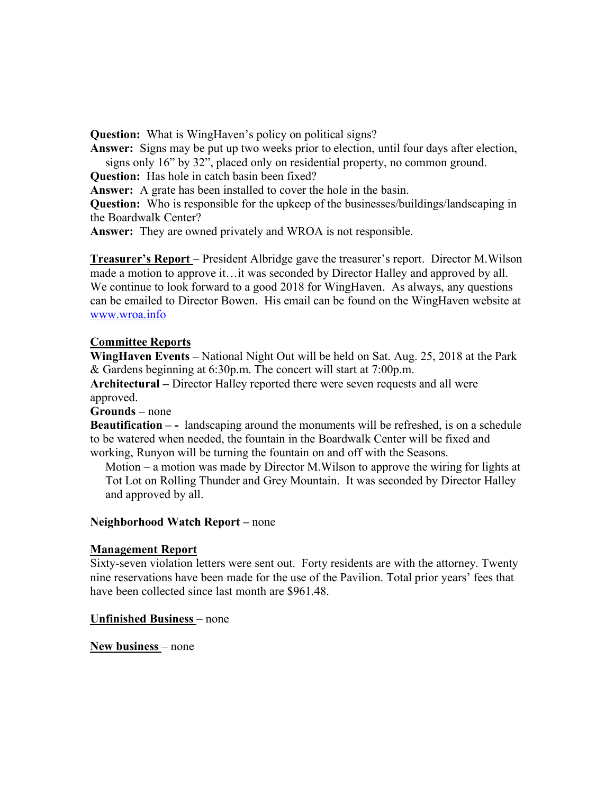**Question:** What is WingHaven's policy on political signs?

**Answer:** Signs may be put up two weeks prior to election, until four days after election, signs only 16" by 32", placed only on residential property, no common ground.

**Question:** Has hole in catch basin been fixed?

**Answer:** A grate has been installed to cover the hole in the basin.

**Question:** Who is responsible for the upkeep of the businesses/buildings/landscaping in the Boardwalk Center?

**Answer:** They are owned privately and WROA is not responsible.

**Treasurer's Report** – President Albridge gave the treasurer's report. Director M.Wilson made a motion to approve it…it was seconded by Director Halley and approved by all. We continue to look forward to a good 2018 for WingHaven. As always, any questions can be emailed to Director Bowen. His email can be found on the WingHaven website at www.wroa.info

## **Committee Reports**

**WingHaven Events –** National Night Out will be held on Sat. Aug. 25, 2018 at the Park & Gardens beginning at 6:30p.m. The concert will start at 7:00p.m.

**Architectural –** Director Halley reported there were seven requests and all were approved.

**Grounds –** none

**Beautification – -** landscaping around the monuments will be refreshed, is on a schedule to be watered when needed, the fountain in the Boardwalk Center will be fixed and working, Runyon will be turning the fountain on and off with the Seasons.

 Motion – a motion was made by Director M.Wilson to approve the wiring for lights at Tot Lot on Rolling Thunder and Grey Mountain. It was seconded by Director Halley and approved by all.

## **Neighborhood Watch Report –** none

## **Management Report**

Sixty-seven violation letters were sent out. Forty residents are with the attorney. Twenty nine reservations have been made for the use of the Pavilion. Total prior years' fees that have been collected since last month are \$961.48.

## **Unfinished Business** – none

**New business** – none